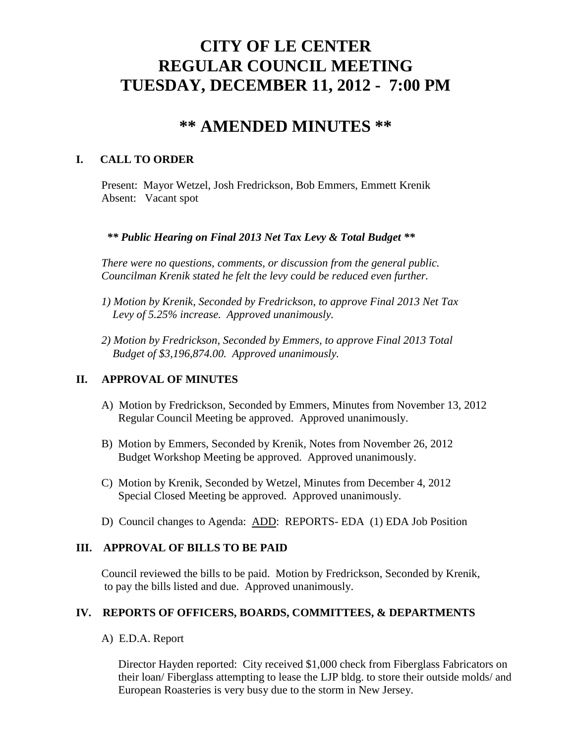# **CITY OF LE CENTER REGULAR COUNCIL MEETING TUESDAY, DECEMBER 11, 2012 - 7:00 PM**

## **\*\* AMENDED MINUTES \*\***

## **I. CALL TO ORDER**

Present: Mayor Wetzel, Josh Fredrickson, Bob Emmers, Emmett Krenik Absent: Vacant spot

## *\*\* Public Hearing on Final 2013 Net Tax Levy & Total Budget \*\**

*There were no questions, comments, or discussion from the general public. Councilman Krenik stated he felt the levy could be reduced even further.*

- *1) Motion by Krenik, Seconded by Fredrickson, to approve Final 2013 Net Tax Levy of 5.25% increase. Approved unanimously.*
- *2) Motion by Fredrickson, Seconded by Emmers, to approve Final 2013 Total Budget of \$3,196,874.00. Approved unanimously.*

## **II. APPROVAL OF MINUTES**

- A) Motion by Fredrickson, Seconded by Emmers, Minutes from November 13, 2012 Regular Council Meeting be approved. Approved unanimously.
- B) Motion by Emmers, Seconded by Krenik, Notes from November 26, 2012 Budget Workshop Meeting be approved. Approved unanimously.
- C) Motion by Krenik, Seconded by Wetzel, Minutes from December 4, 2012 Special Closed Meeting be approved. Approved unanimously.
- D) Council changes to Agenda: ADD: REPORTS- EDA (1) EDA Job Position

## **III. APPROVAL OF BILLS TO BE PAID**

Council reviewed the bills to be paid. Motion by Fredrickson, Seconded by Krenik, to pay the bills listed and due. Approved unanimously.

## **IV. REPORTS OF OFFICERS, BOARDS, COMMITTEES, & DEPARTMENTS**

A) E.D.A. Report

 Director Hayden reported: City received \$1,000 check from Fiberglass Fabricators on their loan/ Fiberglass attempting to lease the LJP bldg. to store their outside molds/ and European Roasteries is very busy due to the storm in New Jersey.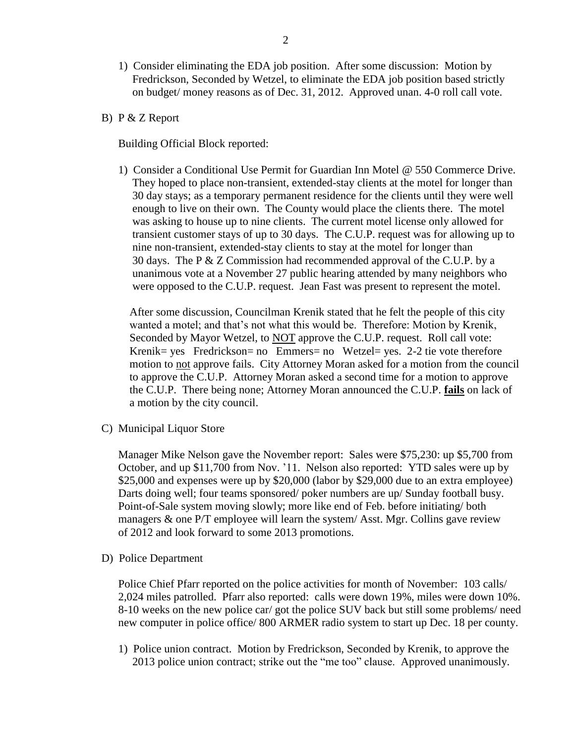- 1) Consider eliminating the EDA job position. After some discussion: Motion by Fredrickson, Seconded by Wetzel, to eliminate the EDA job position based strictly on budget/ money reasons as of Dec. 31, 2012. Approved unan. 4-0 roll call vote.
- B) P & Z Report

Building Official Block reported:

 1) Consider a Conditional Use Permit for Guardian Inn Motel @ 550 Commerce Drive. They hoped to place non-transient, extended-stay clients at the motel for longer than 30 day stays; as a temporary permanent residence for the clients until they were well enough to live on their own. The County would place the clients there. The motel was asking to house up to nine clients. The current motel license only allowed for transient customer stays of up to 30 days. The C.U.P. request was for allowing up to nine non-transient, extended-stay clients to stay at the motel for longer than 30 days. The P & Z Commission had recommended approval of the C.U.P. by a unanimous vote at a November 27 public hearing attended by many neighbors who were opposed to the C.U.P. request. Jean Fast was present to represent the motel.

 After some discussion, Councilman Krenik stated that he felt the people of this city wanted a motel; and that's not what this would be. Therefore: Motion by Krenik, Seconded by Mayor Wetzel, to NOT approve the C.U.P. request. Roll call vote: Krenik= yes Fredrickson= no Emmers= no Wetzel= yes. 2-2 tie vote therefore motion to not approve fails. City Attorney Moran asked for a motion from the council to approve the C.U.P. Attorney Moran asked a second time for a motion to approve the C.U.P. There being none; Attorney Moran announced the C.U.P. **fails** on lack of a motion by the city council.

C) Municipal Liquor Store

Manager Mike Nelson gave the November report: Sales were \$75,230: up \$5,700 from October, and up \$11,700 from Nov. '11. Nelson also reported: YTD sales were up by \$25,000 and expenses were up by \$20,000 (labor by \$29,000 due to an extra employee) Darts doing well; four teams sponsored/ poker numbers are up/ Sunday football busy. Point-of-Sale system moving slowly; more like end of Feb. before initiating/ both managers & one P/T employee will learn the system/ Asst. Mgr. Collins gave review of 2012 and look forward to some 2013 promotions.

D) Police Department

Police Chief Pfarr reported on the police activities for month of November: 103 calls/ 2,024 miles patrolled. Pfarr also reported: calls were down 19%, miles were down 10%. 8-10 weeks on the new police car/ got the police SUV back but still some problems/ need new computer in police office/ 800 ARMER radio system to start up Dec. 18 per county.

1) Police union contract. Motion by Fredrickson, Seconded by Krenik, to approve the 2013 police union contract; strike out the "me too" clause. Approved unanimously.